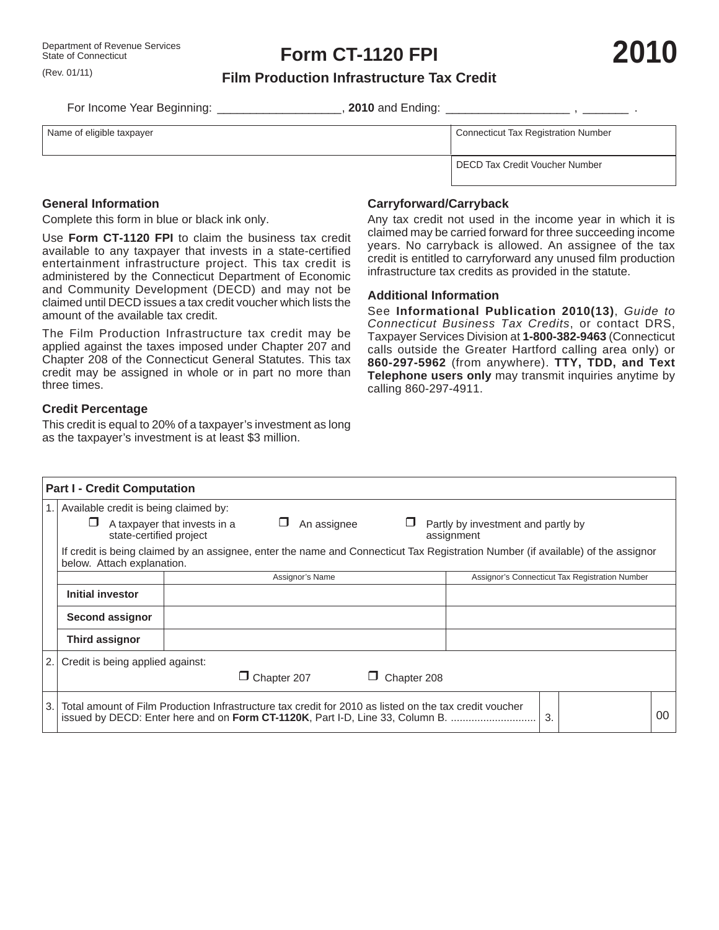(Rev. 01/11)

## **Film Production Infrastructure Tax Credit**

For Income Year Beginning: \_\_\_\_\_\_\_\_\_\_\_\_\_\_\_\_\_\_\_\_\_\_, 2010 and Ending: \_\_\_\_\_\_\_\_\_\_\_\_\_\_\_\_\_\_\_\_\_\_\_\_\_, \_\_\_\_\_

Name of eligible tax payer

**General Information**

Complete this form in blue or black ink only.

Use **Form CT-1120 FPI** to claim the business tax credit available to any taxpayer that invests in a state-certified entertainment infrastructure project. This tax credit is administered by the Connecticut Department of Economic and Community Development (DECD) and may not be claimed until DECD issues a tax credit voucher which lists the amount of the available tax credit.

The Film Production Infrastructure tax credit may be applied against the taxes imposed under Chapter 207 and Chapter 208 of the Connecticut General Statutes. This tax credit may be assigned in whole or in part no more than three times.

### **Credit Percentage**

This credit is equal to 20% of a taxpayer's investment as long as the taxpayer's investment is at least \$3 million.

| Connecticut Tax Registration Number |  |
|-------------------------------------|--|
|-------------------------------------|--|

DECD Tax Credit Voucher Number

## **Carryforward/Carryback**

Any tax credit not used in the income year in which it is claimed may be carried forward for three succeeding income years. No carryback is allowed. An assignee of the tax credit is entitled to carryforward any unused film production infrastructure tax credits as provided in the statute.

### **Additional Information**

See **Informational Publication 2010(13)**, *Guide to Connecticut Business Tax Credits*, or contact DRS, Taxpayer Services Division at **1-800-382-9463** (Connecticut calls outside the Greater Hartford calling area only) or **860-297-5962** (from anywhere). **TTY, TDD, and Text Telephone users only** may transmit inquiries anytime by calling 860-297-4911.

| <b>Part I - Credit Computation</b>                                                                                                                             |                                  |                                                                                                                                                                                         |                                                |  |    |  |  |  |  |
|----------------------------------------------------------------------------------------------------------------------------------------------------------------|----------------------------------|-----------------------------------------------------------------------------------------------------------------------------------------------------------------------------------------|------------------------------------------------|--|----|--|--|--|--|
| Available credit is being claimed by:                                                                                                                          |                                  |                                                                                                                                                                                         |                                                |  |    |  |  |  |  |
|                                                                                                                                                                | state-certified project          | An assignee<br>A taxpayer that invests in a<br>assignment                                                                                                                               | Partly by investment and partly by             |  |    |  |  |  |  |
| If credit is being claimed by an assignee, enter the name and Connecticut Tax Registration Number (if available) of the assignor<br>below. Attach explanation. |                                  |                                                                                                                                                                                         |                                                |  |    |  |  |  |  |
|                                                                                                                                                                |                                  | Assignor's Name                                                                                                                                                                         | Assignor's Connecticut Tax Registration Number |  |    |  |  |  |  |
|                                                                                                                                                                | Initial investor                 |                                                                                                                                                                                         |                                                |  |    |  |  |  |  |
|                                                                                                                                                                | Second assignor                  |                                                                                                                                                                                         |                                                |  |    |  |  |  |  |
|                                                                                                                                                                | Third assignor                   |                                                                                                                                                                                         |                                                |  |    |  |  |  |  |
|                                                                                                                                                                | Credit is being applied against: | $\Box$ Chapter 207<br>Chapter 208                                                                                                                                                       |                                                |  |    |  |  |  |  |
| 3.                                                                                                                                                             |                                  | Total amount of Film Production Infrastructure tax credit for 2010 as listed on the tax credit voucher<br>issued by DECD: Enter here and on Form CT-1120K, Part I-D, Line 33, Column B. | 3.                                             |  | 00 |  |  |  |  |